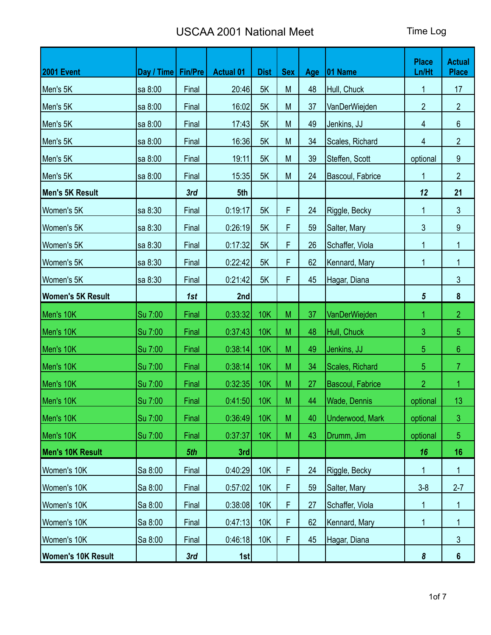| <b>2001 Event</b>         | Day / Time   Fin/Pre |       | <b>Actual 01</b> | <b>Dist</b> | <b>Sex</b> | Age | 01 Name                 | <b>Place</b><br>Ln/Ht | <b>Actual</b><br><b>Place</b> |
|---------------------------|----------------------|-------|------------------|-------------|------------|-----|-------------------------|-----------------------|-------------------------------|
| Men's 5K                  | sa 8:00              | Final | 20:46            | 5K          | ${\sf M}$  | 48  | Hull, Chuck             | 1                     | 17                            |
| Men's 5K                  | sa 8:00              | Final | 16:02            | 5K          | M          | 37  | VanDerWiejden           | $\overline{2}$        | $\overline{2}$                |
| Men's 5K                  | sa 8:00              | Final | 17:43            | 5K          | M          | 49  | Jenkins, JJ             | 4                     | 6                             |
| Men's 5K                  | sa 8:00              | Final | 16:36            | 5K          | M          | 34  | Scales, Richard         | 4                     | $\overline{2}$                |
| Men's 5K                  | sa 8:00              | Final | 19:11            | 5K          | M          | 39  | Steffen, Scott          | optional              | 9                             |
| Men's 5K                  | sa 8:00              | Final | 15:35            | 5K          | M          | 24  | Bascoul, Fabrice        | 1                     | $\overline{2}$                |
| Men's 5K Result           |                      | 3rd   | 5th              |             |            |     |                         | 12                    | 21                            |
| Women's 5K                | sa 8:30              | Final | 0:19:17          | 5K          | F          | 24  | Riggle, Becky           | $\mathbf{1}$          | $\mathfrak{Z}$                |
| Women's 5K                | sa 8:30              | Final | 0:26:19          | 5K          | F          | 59  | Salter, Mary            | $\mathfrak{Z}$        | $\boldsymbol{9}$              |
| Women's 5K                | sa 8:30              | Final | 0:17:32          | 5K          | F          | 26  | Schaffer, Viola         | 1                     | 1                             |
| Women's 5K                | sa 8:30              | Final | 0:22:42          | 5K          | F          | 62  | Kennard, Mary           | 1                     | 1                             |
| Women's 5K                | sa 8:30              | Final | 0:21:42          | 5K          | F          | 45  | Hagar, Diana            |                       | 3                             |
| <b>Women's 5K Result</b>  |                      | 1st   | 2nd              |             |            |     |                         | $\sqrt{5}$            | $\pmb{8}$                     |
| Men's 10K                 | Su 7:00              | Final | 0:33:32          | <b>10K</b>  | M          | 37  | VanDerWiejden           | 1                     | $\overline{2}$                |
| Men's 10K                 | Su 7:00              | Final | 0:37:43          | <b>10K</b>  | M          | 48  | Hull, Chuck             | 3                     | 5                             |
| Men's 10K                 | Su 7:00              | Final | 0:38:14          | <b>10K</b>  | M          | 49  | Jenkins, JJ             | 5                     | $6\phantom{.}6$               |
| Men's 10K                 | Su 7:00              | Final | 0:38:14          | 10K         | M          | 34  | Scales, Richard         | 5                     | $\overline{7}$                |
| Men's 10K                 | Su 7:00              | Final | 0:32:35          | 10K         | M          | 27  | <b>Bascoul, Fabrice</b> | $\overline{2}$        | 1                             |
| Men's 10K                 | Su 7:00              | Final | 0:41:50          | <b>10K</b>  | M          | 44  | <b>Wade, Dennis</b>     | optional              | 13                            |
| Men's 10K                 | Su 7:00              | Final | 0:36:49          | 10K         | ${\sf M}$  | 40  | <b>Underwood, Mark</b>  | optional              | 3                             |
| Men's 10K                 | Su 7:00              | Final | 0:37:37          | 10K         | M          | 43  | Drumm, Jim              | optional              | 5                             |
| Men's 10K Result          |                      | 5th   | 3rd              |             |            |     |                         | 16                    | 16                            |
| Women's 10K               | Sa 8:00              | Final | 0:40:29          | <b>10K</b>  | F          | 24  | Riggle, Becky           | 1                     | 1                             |
| Women's 10K               | Sa 8:00              | Final | 0:57:02          | 10K         | F          | 59  | Salter, Mary            | $3 - 8$               | $2 - 7$                       |
| Women's 10K               | Sa 8:00              | Final | 0:38:08          | 10K         | F          | 27  | Schaffer, Viola         | 1                     | 1                             |
| Women's 10K               | Sa 8:00              | Final | 0:47:13          | 10K         | F          | 62  | Kennard, Mary           | 1                     | 1                             |
| Women's 10K               | Sa 8:00              | Final | 0:46:18          | <b>10K</b>  | F          | 45  | Hagar, Diana            |                       | $\mathfrak{S}$                |
| <b>Women's 10K Result</b> |                      | 3rd   | 1st              |             |            |     |                         | $\pmb{8}$             | $6\phantom{a}$                |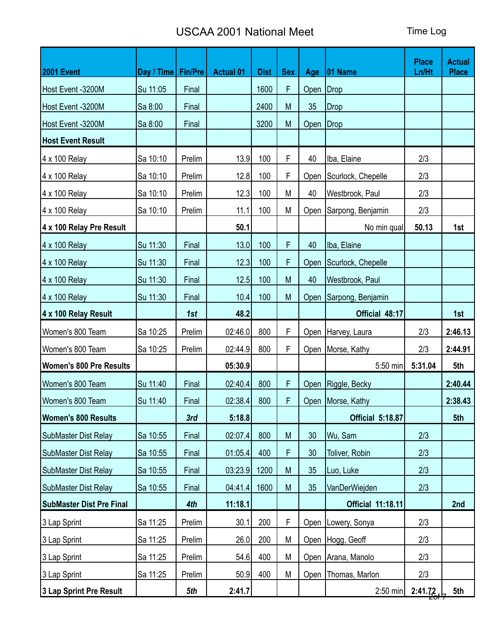| 2001 Event                      | Day / Time   Fin/Pre |        | <b>Actual 01</b> | <b>Dist</b> | <b>Sex</b> | Age         | $ 01$ Name                   | <b>Place</b><br>Ln/Ht | <b>Actual</b><br><b>Place</b> |
|---------------------------------|----------------------|--------|------------------|-------------|------------|-------------|------------------------------|-----------------------|-------------------------------|
| Host Event -3200M               | Su 11:05             | Final  |                  | 1600        | F          | Open Drop   |                              |                       |                               |
| Host Event -3200M               | Sa 8:00              | Final  |                  | 2400        | M          | 35          | Drop                         |                       |                               |
| Host Event -3200M               | Sa 8:00              | Final  |                  | 3200        | M          | Open   Drop |                              |                       |                               |
| <b>Host Event Result</b>        |                      |        |                  |             |            |             |                              |                       |                               |
| 4 x 100 Relay                   | Sa 10:10             | Prelim | 13.9             | 100         | F          | 40          | Iba, Elaine                  | 2/3                   |                               |
| 4 x 100 Relay                   | Sa 10:10             | Prelim | 12.8             | 100         | F          | Open        | Scurlock, Chepelle           | 2/3                   |                               |
| 4 x 100 Relay                   | Sa 10:10             | Prelim | 12.3             | 100         | M          | 40          | Westbrook, Paul              | 2/3                   |                               |
| 4 x 100 Relay                   | Sa 10:10             | Prelim | 11.1             | 100         | M          |             | Open Sarpong, Benjamin       | 2/3                   |                               |
| 4 x 100 Relay Pre Result        |                      |        | 50.1             |             |            |             | No min qual                  | 50.13                 | 1st                           |
| 4 x 100 Relay                   | Su 11:30             | Final  | 13.0             | 100         | F          | 40          | Iba, Elaine                  |                       |                               |
| 4 x 100 Relay                   | Su 11:30             | Final  | 12.3             | 100         | F          | Open        | Scurlock, Chepelle           |                       |                               |
| 4 x 100 Relay                   | Su 11:30             | Final  | 12.5             | 100         | M          | 40          | Westbrook, Paul              |                       |                               |
| 4 x 100 Relay                   | Su 11:30             | Final  | 10.4             | 100         | M          |             | Open Sarpong, Benjamin       |                       |                               |
| 4 x 100 Relay Result            |                      | 1st    | 48.2             |             |            |             | Official 48:17               |                       | 1st                           |
| Women's 800 Team                | Sa 10:25             | Prelim | 02:46.0          | 800         | F          |             | Open   Harvey, Laura         | 2/3                   | 2:46.13                       |
| Women's 800 Team                | Sa 10:25             | Prelim | 02:44.9          | 800         | F          |             | Open Morse, Kathy            | 2/3                   | 2:44.91                       |
| <b>Women's 800 Pre Results</b>  |                      |        | 05:30.9          |             |            |             | 5:50 min                     | 5:31.04               | 5th                           |
| Women's 800 Team                | Su 11:40             | Final  | 02:40.4          | 800         | F          |             | Open   Riggle, Becky         |                       | 2:40.44                       |
| Women's 800 Team                | Su 11:40             | Final  | 02:38.4          | 800         | F          |             | Open Morse, Kathy            |                       | 2:38.43                       |
| <b>Women's 800 Results</b>      |                      | 3rd    | 5:18.8           |             |            |             | Official 5:18.87             |                       | 5th                           |
| SubMaster Dist Relay            | Sa 10:55             | Final  | 02:07.4          | 800         | M          | 30          | Wu, Sam                      | 2/3                   |                               |
| SubMaster Dist Relay            | Sa 10:55             | Final  | 01:05.4          | 400         | F          | 30          | Toliver, Robin               | 2/3                   |                               |
| <b>SubMaster Dist Relay</b>     | Sa 10:55             | Final  | 03:23.9          | 1200        | M          | 35          | Luo, Luke                    | 2/3                   |                               |
| <b>SubMaster Dist Relay</b>     | Sa 10:55             | Final  | 04:41.4          | 1600        | M          | 35          | VanDerWiejden                | 2/3                   |                               |
| <b>SubMaster Dist Pre Final</b> |                      | 4th    | 11:18.1          |             |            |             | <b>Official 11:18.11</b>     |                       | 2nd                           |
| 3 Lap Sprint                    | Sa 11:25             | Prelim | 30.1             | 200         | F          |             | Open   Lowery, Sonya         | 2/3                   |                               |
| 3 Lap Sprint                    | Sa 11:25             | Prelim | 26.0             | 200         | M          |             | Open Hogg, Geoff             | 2/3                   |                               |
| 3 Lap Sprint                    | Sa 11:25             | Prelim | 54.6             | 400         | M          |             | Open Arana, Manolo           | 2/3                   |                               |
| 3 Lap Sprint                    | Sa 11:25             | Prelim | 50.9             | 400         | M          |             | Open   Thomas, Marlon<br>2/3 |                       |                               |
| 3 Lap Sprint Pre Result         |                      | 5th    | 2:41.7           |             |            |             | $2:50$ min                   | 2:41.72               | 5th                           |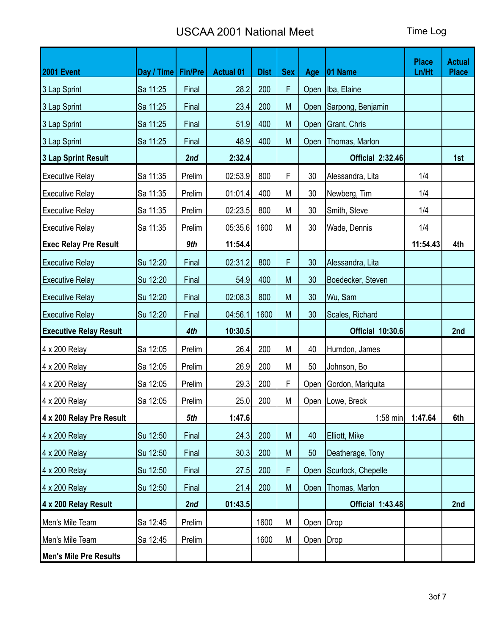| 2001 Event                    | Day / Time   Fin/Pre |        | <b>Actual 01</b> | <b>Dist</b> | <b>Sex</b> | Age         | $ 01$ Name              | <b>Place</b><br>Ln/Ht | <b>Actual</b><br><b>Place</b> |
|-------------------------------|----------------------|--------|------------------|-------------|------------|-------------|-------------------------|-----------------------|-------------------------------|
| 3 Lap Sprint                  | Sa 11:25             | Final  | 28.2             | 200         | F          | Open        | Iba, Elaine             |                       |                               |
| 3 Lap Sprint                  | Sa 11:25             | Final  | 23.4             | 200         | M          |             | Open Sarpong, Benjamin  |                       |                               |
| 3 Lap Sprint                  | Sa 11:25             | Final  | 51.9             | 400         | M          |             | Open   Grant, Chris     |                       |                               |
| 3 Lap Sprint                  | Sa 11:25             | Final  | 48.9             | 400         | M          |             | Open   Thomas, Marlon   |                       |                               |
| 3 Lap Sprint Result           |                      | 2nd    | 2:32.4           |             |            |             | <b>Official 2:32.46</b> |                       | 1st                           |
| <b>Executive Relay</b>        | Sa 11:35             | Prelim | 02:53.9          | 800         | F          | 30          | Alessandra, Lita        | 1/4                   |                               |
| <b>Executive Relay</b>        | Sa 11:35             | Prelim | 01:01.4          | 400         | M          | 30          | Newberg, Tim            | 1/4                   |                               |
| <b>Executive Relay</b>        | Sa 11:35             | Prelim | 02:23.5          | 800         | M          | 30          | Smith, Steve            | 1/4                   |                               |
| <b>Executive Relay</b>        | Sa 11:35             | Prelim | 05:35.6          | 1600        | M          | 30          | Wade, Dennis            | 1/4                   |                               |
| <b>Exec Relay Pre Result</b>  |                      | 9th    | 11:54.4          |             |            |             |                         | 11:54.43              | 4th                           |
| <b>Executive Relay</b>        | Su 12:20             | Final  | 02:31.2          | 800         | F          | 30          | Alessandra, Lita        |                       |                               |
| <b>Executive Relay</b>        | Su 12:20             | Final  | 54.9             | 400         | M          | 30          | Boedecker, Steven       |                       |                               |
| <b>Executive Relay</b>        | Su 12:20             | Final  | 02:08.3          | 800         | M          | 30          | Wu, Sam                 |                       |                               |
| <b>Executive Relay</b>        | Su 12:20             | Final  | 04:56.1          | 1600        | M          | 30          | Scales, Richard         |                       |                               |
| <b>Executive Relay Result</b> |                      | 4th    | 10:30.5          |             |            |             | <b>Official 10:30.6</b> |                       | 2nd                           |
| 4 x 200 Relay                 | Sa 12:05             | Prelim | 26.4             | 200         | M          | 40          | Hurndon, James          |                       |                               |
| 4 x 200 Relay                 | Sa 12:05             | Prelim | 26.9             | 200         | M          | 50          | Johnson, Bo             |                       |                               |
| 4 x 200 Relay                 | Sa 12:05             | Prelim | 29.3             | 200         | F          |             | Open Gordon, Mariquita  |                       |                               |
| 4 x 200 Relay                 | Sa 12:05             | Prelim | 25.0             | 200         | M          |             | Open   Lowe, Breck      |                       |                               |
| 4 x 200 Relay Pre Result      |                      | 5th    | 1:47.6           |             |            |             | $1:58$ min              | 1:47.64               | 6th                           |
| 4 x 200 Relay                 | Su 12:50             | Final  | 24.3             | 200         | M          | 40          | Elliott, Mike           |                       |                               |
| 4 x 200 Relay                 | Su 12:50             | Final  | 30.3             | 200         | M          | 50          | Deatherage, Tony        |                       |                               |
| 4 x 200 Relay                 | Su 12:50             | Final  | 27.5             | 200         | F          |             | Open Scurlock, Chepelle |                       |                               |
| 4 x 200 Relay                 | Su 12:50             | Final  | 21.4             | 200         | M          | Open        | Thomas, Marlon          |                       |                               |
| 4 x 200 Relay Result          |                      | 2nd    | 01:43.5          |             |            |             | <b>Official 1:43.48</b> |                       | 2nd                           |
| Men's Mile Team               | Sa 12:45             | Prelim |                  | 1600        | M          | Open   Drop |                         |                       |                               |
| Men's Mile Team               | Sa 12:45             | Prelim |                  | 1600        | M          | Open   Drop |                         |                       |                               |
| Men's Mile Pre Results        |                      |        |                  |             |            |             |                         |                       |                               |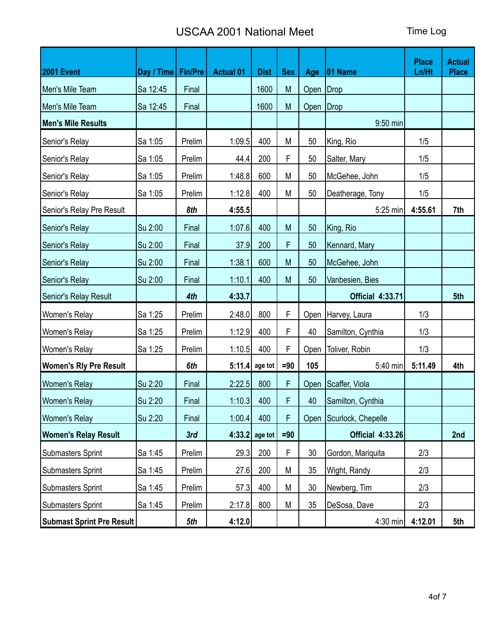| 2001 Event                       | Day / Time   Fin/Pre |        | <b>Actual 01</b> | <b>Dist</b>      | <b>Sex</b> | Age         | $ 01$ Name              | <b>Place</b><br>Ln/Ht | <b>Actual</b><br><b>Place</b> |
|----------------------------------|----------------------|--------|------------------|------------------|------------|-------------|-------------------------|-----------------------|-------------------------------|
| Men's Mile Team                  | Sa 12:45             | Final  |                  | 1600             | M          | Open   Drop |                         |                       |                               |
| Men's Mile Team                  | Sa 12:45             | Final  |                  | 1600             | M          | Open Drop   |                         |                       |                               |
| Men's Mile Results               |                      |        |                  |                  |            |             | 9:50 min                |                       |                               |
| Senior's Relay                   | Sa 1:05              | Prelim | 1:09.5           | 400              | M          | 50          | King, Rio               | 1/5                   |                               |
| Senior's Relay                   | Sa 1:05              | Prelim | 44.4             | 200              | F          | 50          | Salter, Mary            | 1/5                   |                               |
| Senior's Relay                   | Sa 1:05              | Prelim | 1:48.8           | 600              | M          | 50          | McGehee, John           | 1/5                   |                               |
| Senior's Relay                   | Sa 1:05              | Prelim | 1:12.8           | 400              | M          | 50          | Deatherage, Tony        | 1/5                   |                               |
| Senior's Relay Pre Result        |                      | 8th    | 4:55.5           |                  |            |             | 5:25 min                | 4:55.61               | 7th                           |
| Senior's Relay                   | Su 2:00              | Final  | 1:07.6           | 400              | M          | 50          | King, Rio               |                       |                               |
| Senior's Relay                   | Su 2:00              | Final  | 37.9             | 200              | F          | 50          | Kennard, Mary           |                       |                               |
| Senior's Relay                   | Su 2:00              | Final  | 1:38.1           | 600              | M          | 50          | McGehee, John           |                       |                               |
| Senior's Relay                   | Su 2:00              | Final  | 1:10.1           | 400              | M          | 50          | Vanbesien, Bies         |                       |                               |
| Senior's Relay Result            |                      | 4th    | 4:33.7           |                  |            |             | <b>Official 4:33.71</b> |                       | 5th                           |
| Women's Relay                    | Sa 1:25              | Prelim | 2:48.0           | 800              | F          |             | Open   Harvey, Laura    | 1/3                   |                               |
| Women's Relay                    | Sa 1:25              | Prelim | 1:12.9           | 400              | F          | 40          | Samilton, Cynthia       | 1/3                   |                               |
| Women's Relay                    | Sa 1:25              | Prelim | 1:10.5           | 400              | F          | Open        | Toliver, Robin          | 1/3                   |                               |
| <b>Women's Rly Pre Result</b>    |                      | 6th    |                  | $5:11.4$ age tot | $= 90$     | 105         | 5:40 min                | 5:11.49               | 4th                           |
| Women's Relay                    | Su 2:20              | Final  | 2:22.5           | 800              | F          |             | Open Scaffer, Viola     |                       |                               |
| Women's Relay                    | Su 2:20              | Final  | 1:10.3           | 400              | F          | 40          | Samilton, Cynthia       |                       |                               |
| <b>Women's Relay</b>             | Su 2:20              | Final  | 1:00.4           | 400              | F          |             | Open Scurlock, Chepelle |                       |                               |
| <b>Women's Relay Result</b>      |                      | 3rd    | 4:33.2           | age tot          | $=90$      |             | <b>Official 4:33.26</b> |                       | 2nd                           |
| <b>Submasters Sprint</b>         | Sa 1:45              | Prelim | 29.3             | 200              | F          | 30          | Gordon, Mariquita       | 2/3                   |                               |
| <b>Submasters Sprint</b>         | Sa 1:45              | Prelim | 27.6             | 200              | M          | 35          | Wight, Randy            | 2/3                   |                               |
| <b>Submasters Sprint</b>         | Sa 1:45              | Prelim | 57.3             | 400              | M          | 30          | Newberg, Tim            | 2/3                   |                               |
| <b>Submasters Sprint</b>         | Sa 1:45              | Prelim | 2:17.8           | 800              | M          | 35          | DeSosa, Dave            | 2/3                   |                               |
| <b>Submast Sprint Pre Result</b> |                      | 5th    | 4:12.0           |                  |            |             | 4:30 min                | 4:12.01               | 5th                           |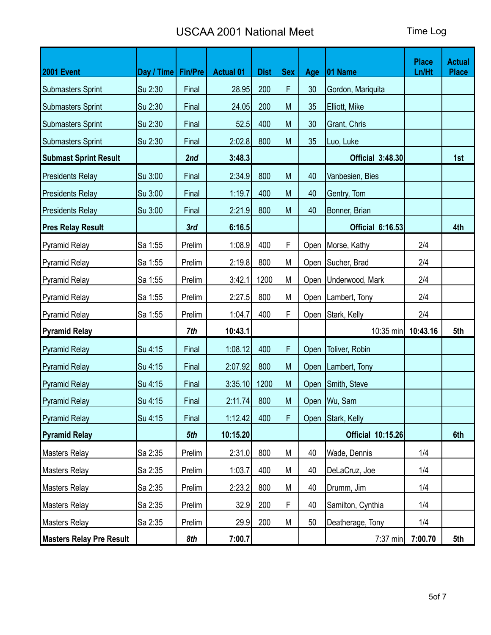| <b>2001 Event</b>               | Day / Time   Fin/Pre |        | <b>Actual 01</b> | <b>Dist</b> | <b>Sex</b> | Age  | $ 01$ Name               | <b>Place</b><br>Ln/Ht | <b>Actual</b><br><b>Place</b> |
|---------------------------------|----------------------|--------|------------------|-------------|------------|------|--------------------------|-----------------------|-------------------------------|
| <b>Submasters Sprint</b>        | Su 2:30              | Final  | 28.95            | 200         | F          | 30   | Gordon, Mariquita        |                       |                               |
| <b>Submasters Sprint</b>        | Su 2:30              | Final  | 24.05            | 200         | M          | 35   | Elliott, Mike            |                       |                               |
| <b>Submasters Sprint</b>        | Su 2:30              | Final  | 52.5             | 400         | M          | 30   | Grant, Chris             |                       |                               |
| <b>Submasters Sprint</b>        | Su 2:30              | Final  | 2:02.8           | 800         | M          | 35   | Luo, Luke                |                       |                               |
| <b>Submast Sprint Result</b>    |                      | 2nd    | 3:48.3           |             |            |      | <b>Official 3:48.30</b>  |                       | 1st                           |
| <b>Presidents Relay</b>         | Su 3:00              | Final  | 2:34.9           | 800         | M          | 40   | Vanbesien, Bies          |                       |                               |
| Presidents Relay                | Su 3:00              | Final  | 1:19.7           | 400         | M          | 40   | Gentry, Tom              |                       |                               |
| Presidents Relay                | Su 3:00              | Final  | 2:21.9           | 800         | M          | 40   | Bonner, Brian            |                       |                               |
| <b>Pres Relay Result</b>        |                      | 3rd    | 6:16.5           |             |            |      | <b>Official 6:16.53</b>  |                       | 4th                           |
| <b>Pyramid Relay</b>            | Sa 1:55              | Prelim | 1:08.9           | 400         | F          | Open | Morse, Kathy             | 2/4                   |                               |
| Pyramid Relay                   | Sa 1:55              | Prelim | 2:19.8           | 800         | M          | Open | Sucher, Brad             | 2/4                   |                               |
| Pyramid Relay                   | Sa 1:55              | Prelim | 3:42.1           | 1200        | M          | Open | Underwood, Mark          | 2/4                   |                               |
| <b>Pyramid Relay</b>            | Sa 1:55              | Prelim | 2:27.5           | 800         | M          |      | Open   Lambert, Tony     | 2/4                   |                               |
| <b>Pyramid Relay</b>            | Sa 1:55              | Prelim | 1:04.7           | 400         | F          |      | Open Stark, Kelly        | 2/4                   |                               |
| Pyramid Relay                   |                      | 7th    | 10:43.1          |             |            |      | 10:35 min   10:43.16     |                       | 5th                           |
| Pyramid Relay                   | Su 4:15              | Final  | 1:08.12          | 400         | F          | Open | Toliver, Robin           |                       |                               |
| Pyramid Relay                   | Su 4:15              | Final  | 2:07.92          | 800         | M          | Open | Lambert, Tony            |                       |                               |
| Pyramid Relay                   | Su 4:15              | Final  | 3:35.10          | 1200        | ${\sf M}$  |      | Open Smith, Steve        |                       |                               |
| Pyramid Relay                   | Su 4:15              | Final  | 2:11.74          | 800         | M          |      | Open   Wu, Sam           |                       |                               |
| Pyramid Relay                   | Su 4:15              | Final  | 1:12.42          | 400         | F          |      | Open Stark, Kelly        |                       |                               |
| <b>Pyramid Relay</b>            |                      | 5th    | 10:15.20         |             |            |      | <b>Official 10:15.26</b> |                       | 6th                           |
| Masters Relay                   | Sa 2:35              | Prelim | 2:31.0           | 800         | М          | 40   | Wade, Dennis             | 1/4                   |                               |
| Masters Relay                   | Sa 2:35              | Prelim | 1:03.7           | 400         | M          | 40   | DeLaCruz, Joe            | 1/4                   |                               |
| <b>Masters Relay</b>            | Sa 2:35              | Prelim | 2:23.2           | 800         | M          | 40   | Drumm, Jim               | 1/4                   |                               |
| <b>Masters Relay</b>            | Sa 2:35              | Prelim | 32.9             | 200         | F          | 40   | Samilton, Cynthia        | 1/4                   |                               |
| Masters Relay                   | Sa 2:35              | Prelim | 29.9             | 200         | M          | 50   | Deatherage, Tony         | 1/4                   |                               |
| <b>Masters Relay Pre Result</b> |                      | 8th    | 7:00.7           |             |            |      | 7:37 min                 | 7:00.70               | 5th                           |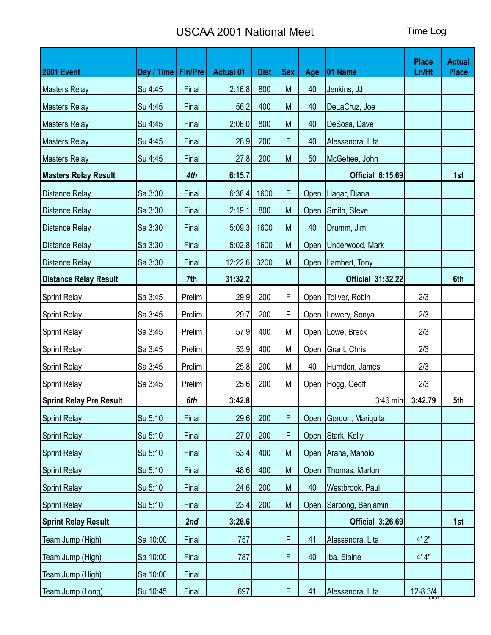| <b>2001 Event</b>              | Day / Time   Fin/Pre |        | <b>Actual 01</b> | <b>Dist</b> | <b>Sex</b> | Age  | $ 01$ Name               | <b>Place</b><br>Ln/Ht | <b>Actual</b><br><b>Place</b> |
|--------------------------------|----------------------|--------|------------------|-------------|------------|------|--------------------------|-----------------------|-------------------------------|
| <b>Masters Relay</b>           | Su 4:45              | Final  | 2:16.8           | 800         | M          | 40   | Jenkins, JJ              |                       |                               |
| <b>Masters Relay</b>           | Su 4:45              | Final  | 56.2             | 400         | M          | 40   | DeLaCruz, Joe            |                       |                               |
| <b>Masters Relay</b>           | Su 4:45              | Final  | 2:06.0           | 800         | M          | 40   | DeSosa, Dave             |                       |                               |
| <b>Masters Relay</b>           | Su 4:45              | Final  | 28.9             | 200         | F.         | 40   | Alessandra, Lita         |                       |                               |
| <b>Masters Relay</b>           | Su 4:45              | Final  | 27.8             | 200         | M          | 50   | McGehee, John            |                       |                               |
| <b>Masters Relay Result</b>    |                      | 4th    | 6:15.7           |             |            |      | <b>Official 6:15.69</b>  |                       | 1st                           |
| <b>Distance Relay</b>          | Sa 3:30              | Final  | 6:38.4           | 1600        | F          |      | Open   Hagar, Diana      |                       |                               |
| Distance Relay                 | Sa 3:30              | Final  | 2:19.1           | 800         | M          |      | Open Smith, Steve        |                       |                               |
| <b>Distance Relay</b>          | Sa 3:30              | Final  | 5:09.3           | 1600        | M          | 40   | Drumm, Jim               |                       |                               |
| <b>Distance Relay</b>          | Sa 3:30              | Final  | 5:02.8           | 1600        | M          |      | Open Underwood, Mark     |                       |                               |
| <b>Distance Relay</b>          | Sa 3:30              | Final  | 12:22.6          | 3200        | M          |      | Open   Lambert, Tony     |                       |                               |
| <b>Distance Relay Result</b>   |                      | 7th    | 31:32.2          |             |            |      | <b>Official 31:32.22</b> |                       | 6th                           |
| <b>Sprint Relay</b>            | Sa 3:45              | Prelim | 29.9             | 200         | F          | Open | Toliver, Robin           | 2/3                   |                               |
| <b>Sprint Relay</b>            | Sa 3:45              | Prelim | 29.7             | 200         | F          |      | Open   Lowery, Sonya     | 2/3                   |                               |
| <b>Sprint Relay</b>            | Sa 3:45              | Prelim | 57.9             | 400         | М          |      | Open   Lowe, Breck       | 2/3                   |                               |
| <b>Sprint Relay</b>            | Sa 3:45              | Prelim | 53.9             | 400         | M          |      | Open   Grant, Chris      | 2/3                   |                               |
| <b>Sprint Relay</b>            | Sa 3:45              | Prelim | 25.8             | 200         | М          | 40   | Hurndon, James           | 2/3                   |                               |
| <b>Sprint Relay</b>            | Sa 3:45              | Prelim | 25.6             | 200         | M          |      | Open   Hogg, Geoff       | 2/3                   |                               |
| <b>Sprint Relay Pre Result</b> |                      | 6th    | 3:42.8           |             |            |      | 3:46 min                 | 3:42.79               | 5th                           |
| <b>Sprint Relay</b>            | Su 5:10              | Final  | 29.6             | 200         | F          |      | Open Gordon, Mariquita   |                       |                               |
| <b>Sprint Relay</b>            | Su 5:10              | Final  | 27.0             | 200         | F          |      | Open Stark, Kelly        |                       |                               |
| <b>Sprint Relay</b>            | Su 5:10              | Final  | 53.4             | 400         | M          |      | Open Arana, Manolo       |                       |                               |
| <b>Sprint Relay</b>            | Su 5:10              | Final  | 48.6             | 400         | M          | Open | Thomas, Marlon           |                       |                               |
| <b>Sprint Relay</b>            | Su 5:10              | Final  | 24.6             | 200         | M          | 40   | Westbrook, Paul          |                       |                               |
| <b>Sprint Relay</b>            | Su 5:10              | Final  | 23.4             | 200         | M          |      | Open Sarpong, Benjamin   |                       |                               |
| <b>Sprint Relay Result</b>     |                      | 2nd    | 3:26.6           |             |            |      | Official 3:26.69         |                       | 1st                           |
| Team Jump (High)               | Sa 10:00             | Final  | 757              |             | F          | 41   | Alessandra, Lita         | 4'2"                  |                               |
| Team Jump (High)               | Sa 10:00             | Final  | 787              |             | F          | 40   | Iba, Elaine              | 4' 4"                 |                               |
| Team Jump (High)               | Sa 10:00             | Final  |                  |             |            |      |                          |                       |                               |
| Team Jump (Long)               | Su 10:45             | Final  | 697              |             | F          | 41   | Alessandra, Lita         | 12-8 3/4<br>ᡂ᠇        |                               |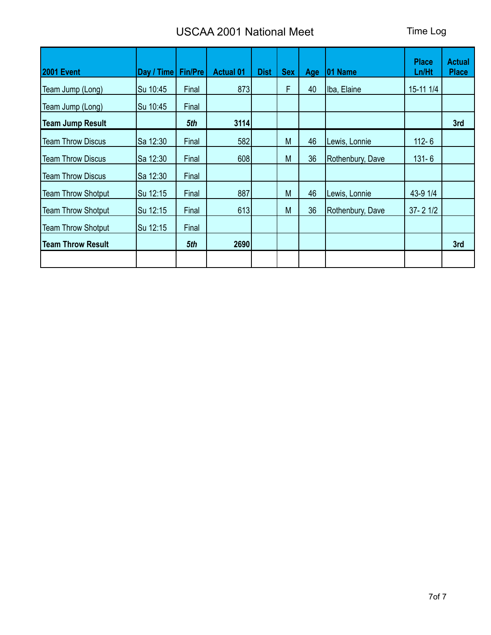| <b>2001 Event</b>         | Day / Time | <b>Fin/Pre</b> | <b>Actual 01</b> | <b>Dist</b> | <b>Sex</b> | Age | 01 Name          | <b>Place</b><br>Ln/Ht | <b>Actual</b><br><b>Place</b> |
|---------------------------|------------|----------------|------------------|-------------|------------|-----|------------------|-----------------------|-------------------------------|
| Team Jump (Long)          | Su 10:45   | Final          | 873              |             | F          | 40  | Iba, Elaine      | 15-11 1/4             |                               |
| Team Jump (Long)          | Su 10:45   | Final          |                  |             |            |     |                  |                       |                               |
| <b>Team Jump Result</b>   |            | 5th            | 3114             |             |            |     |                  |                       | 3rd                           |
| <b>Team Throw Discus</b>  | Sa 12:30   | Final          | 582              |             | M          | 46  | Lewis, Lonnie    | $112 - 6$             |                               |
| <b>Team Throw Discus</b>  | Sa 12:30   | Final          | 608              |             | M          | 36  | Rothenbury, Dave | $131 - 6$             |                               |
| <b>Team Throw Discus</b>  | Sa 12:30   | Final          |                  |             |            |     |                  |                       |                               |
| <b>Team Throw Shotput</b> | Su 12:15   | Final          | 887              |             | M          | 46  | Lewis, Lonnie    | 43-9 1/4              |                               |
| <b>Team Throw Shotput</b> | Su 12:15   | Final          | 613              |             | M          | 36  | Rothenbury, Dave | $37 - 21/2$           |                               |
| <b>Team Throw Shotput</b> | Su 12:15   | Final          |                  |             |            |     |                  |                       |                               |
| <b>Team Throw Result</b>  |            | 5th            | 2690             |             |            |     |                  |                       | 3rd                           |
|                           |            |                |                  |             |            |     |                  |                       |                               |